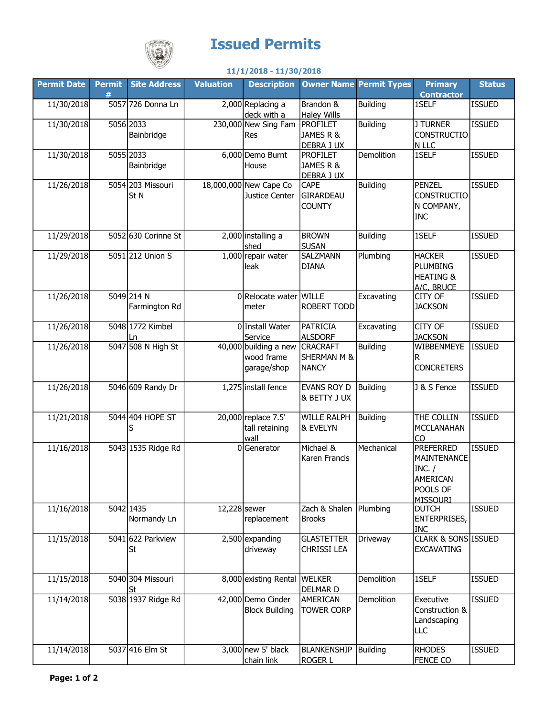

## Issued Permits

## 11/1/2018 - 11/30/2018

| <b>Permit Date</b> | Permit  <br># | <b>Site Address</b>                  | <b>Valuation</b> | <b>Description</b>                                   |                                                           | <b>Owner Name Permit Types</b> | <b>Primary</b><br><b>Contractor</b>                                                  | <b>Status</b> |
|--------------------|---------------|--------------------------------------|------------------|------------------------------------------------------|-----------------------------------------------------------|--------------------------------|--------------------------------------------------------------------------------------|---------------|
| 11/30/2018         |               | 5057 726 Donna Ln                    |                  | 2,000 Replacing a<br>deck with a                     | Brandon &<br><b>Haley Wills</b>                           | Building                       | 1SELF                                                                                | <b>ISSUED</b> |
| 11/30/2018         |               | 5056 2033<br>Bainbridge              |                  | 230,000 New Sing Fam<br>Res                          | <b>PROFILET</b><br>JAMES R &<br>DEBRA J UX                | Building                       | <b>J TURNER</b><br><b>CONSTRUCTIO</b><br>N LLC                                       | <b>ISSUED</b> |
| 11/30/2018         |               | 5055 2033<br>Bainbridge              |                  | 6,000 Demo Burnt<br>House                            | <b>PROFILET</b><br>JAMES R &<br>DEBRA J UX                | Demolition                     | 1SELF                                                                                | <b>ISSUED</b> |
| 11/26/2018         |               | 5054 203 Missouri<br>St <sub>N</sub> |                  | 18,000,000 New Cape Co<br>Justice Center             | CAPE<br><b>GIRARDEAU</b><br><b>COUNTY</b>                 | Building                       | <b>PENZEL</b><br><b>CONSTRUCTIO</b><br>N COMPANY,<br><b>INC</b>                      | <b>ISSUED</b> |
| 11/29/2018         |               | 5052 630 Corinne St                  |                  | 2,000 installing a<br>shed                           | <b>BROWN</b><br><b>SUSAN</b>                              | Building                       | 1SELF                                                                                | <b>ISSUED</b> |
| 11/29/2018         |               | 5051 212 Union S                     |                  | 1,000 repair water<br>leak                           | SALZMANN<br><b>DIANA</b>                                  | Plumbing                       | <b>HACKER</b><br><b>PLUMBING</b><br><b>HEATING &amp;</b><br>A/C, BRUCE               | <b>ISSUED</b> |
| 11/26/2018         |               | 5049 214 N<br>Farmington Rd          |                  | 0 Relocate water WILLE<br>meter                      | <b>ROBERT TODD</b>                                        | Excavating                     | CITY OF<br><b>JACKSON</b>                                                            | <b>ISSUED</b> |
| 11/26/2018         |               | 5048 1772 Kimbel<br>Ln               |                  | 0 Install Water<br>Service                           | <b>PATRICIA</b><br><b>ALSDORF</b>                         | Excavating                     | CITY OF<br><b>JACKSON</b>                                                            | <b>ISSUED</b> |
| 11/26/2018         |               | 5047 508 N High St                   |                  | $40,000$ building a new<br>wood frame<br>garage/shop | <b>CRACRAFT</b><br><b>SHERMAN M &amp;</b><br><b>NANCY</b> | Building                       | WIBBENMEYE<br>R<br><b>CONCRETERS</b>                                                 | <b>ISSUED</b> |
| 11/26/2018         |               | 5046 609 Randy Dr                    |                  | 1,275 install fence                                  | <b>EVANS ROY D</b><br>& BETTY J UX                        | Building                       | J & S Fence                                                                          | <b>ISSUED</b> |
| 11/21/2018         |               | 5044 404 HOPE ST<br>S                |                  | 20,000 replace 7.5'<br>tall retaining<br>wall        | <b>WILLE RALPH</b><br>& EVELYN                            | Building                       | THE COLLIN<br><b>MCCLANAHAN</b><br>CO                                                | <b>ISSUED</b> |
| 11/16/2018         |               | 5043 1535 Ridge Rd                   |                  | 0Generator                                           | Michael &<br>Karen Francis                                | Mechanical                     | <b>PREFERRED</b><br>MAINTENANCE<br>INC. /<br>AMERICAN<br>POOLS OF<br><b>MISSOURI</b> | <b>ISSUED</b> |
| 11/16/2018         |               | 5042 1435<br>Normandy Ln             | 12,228 sewer     | replacement                                          | Zach & Shalen<br><b>Brooks</b>                            | Plumbing                       | <b>DUTCH</b><br>ENTERPRISES,<br><b>INC</b>                                           | <b>ISSUED</b> |
| 11/15/2018         |               | 5041 622 Parkview<br>St              |                  | $2,500$ expanding<br>driveway                        | <b>GLASTETTER</b><br>CHRISSI LEA                          | Driveway                       | <b>CLARK &amp; SONS ISSUED</b><br><b>EXCAVATING</b>                                  |               |
| 11/15/2018         |               | 5040 304 Missouri<br>St              |                  | 8,000 existing Rental WELKER                         | <b>DELMAR D</b>                                           | Demolition                     | 1SELF                                                                                | <b>ISSUED</b> |
| 11/14/2018         |               | 5038 1937 Ridge Rd                   |                  | 42,000 Demo Cinder<br><b>Block Building</b>          | AMERICAN<br><b>TOWER CORP</b>                             | Demolition                     | Executive<br>Construction &<br>Landscaping<br>LLC                                    | <b>ISSUED</b> |
| 11/14/2018         |               | 5037 416 Elm St                      |                  | $3,000$ new 5' black<br>chain link                   | <b>BLANKENSHIP</b><br><b>ROGER L</b>                      | <b>Building</b>                | <b>RHODES</b><br><b>FENCE CO</b>                                                     | <b>ISSUED</b> |